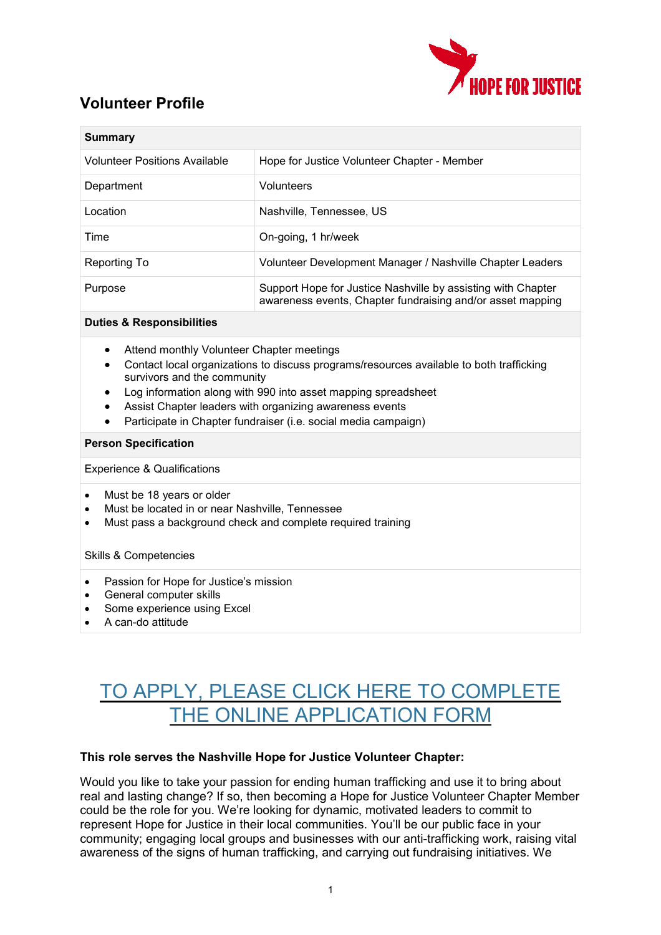

## **Volunteer Profile**

| Summary                              |                                                                                                                            |
|--------------------------------------|----------------------------------------------------------------------------------------------------------------------------|
| <b>Volunteer Positions Available</b> | Hope for Justice Volunteer Chapter - Member                                                                                |
| Department                           | Volunteers                                                                                                                 |
| Location                             | Nashville, Tennessee, US                                                                                                   |
| Time                                 | On-going, 1 hr/week                                                                                                        |
| Reporting To                         | Volunteer Development Manager / Nashville Chapter Leaders                                                                  |
| Purpose                              | Support Hope for Justice Nashville by assisting with Chapter<br>awareness events, Chapter fundraising and/or asset mapping |

### **Duties & Responsibilities**

- Attend monthly Volunteer Chapter meetings
- Contact local organizations to discuss programs/resources available to both trafficking survivors and the community
- Log information along with 990 into asset mapping spreadsheet
- Assist Chapter leaders with organizing awareness events
- Participate in Chapter fundraiser (i.e. social media campaign)

#### **Person Specification**

Experience & Qualifications

- Must be 18 years or older
- Must be located in or near Nashville, Tennessee
- Must pass a background check and complete required training

#### Skills & Competencies

- Passion for Hope for Justice's mission
- General computer skills
- Some experience using Excel
- A can-do attitude

# TO APPLY, PLEASE CLICK HERE TO [COMPLETE](https://forms.office.com/r/Q2evi6wCt7) THE ONLINE [APPLICATION](https://forms.office.com/r/Q2evi6wCt7) FORM

### **This role serves the Nashville Hope for Justice Volunteer Chapter:**

Would you like to take your passion for ending human trafficking and use it to bring about real and lasting change? If so, then becoming a Hope for Justice Volunteer Chapter Member could be the role for you. We're looking for dynamic, motivated leaders to commit to represent Hope for Justice in their local communities. You'll be our public face in your community; engaging local groups and businesses with our anti-trafficking work, raising vital awareness of the signs of human trafficking, and carrying out fundraising initiatives. We